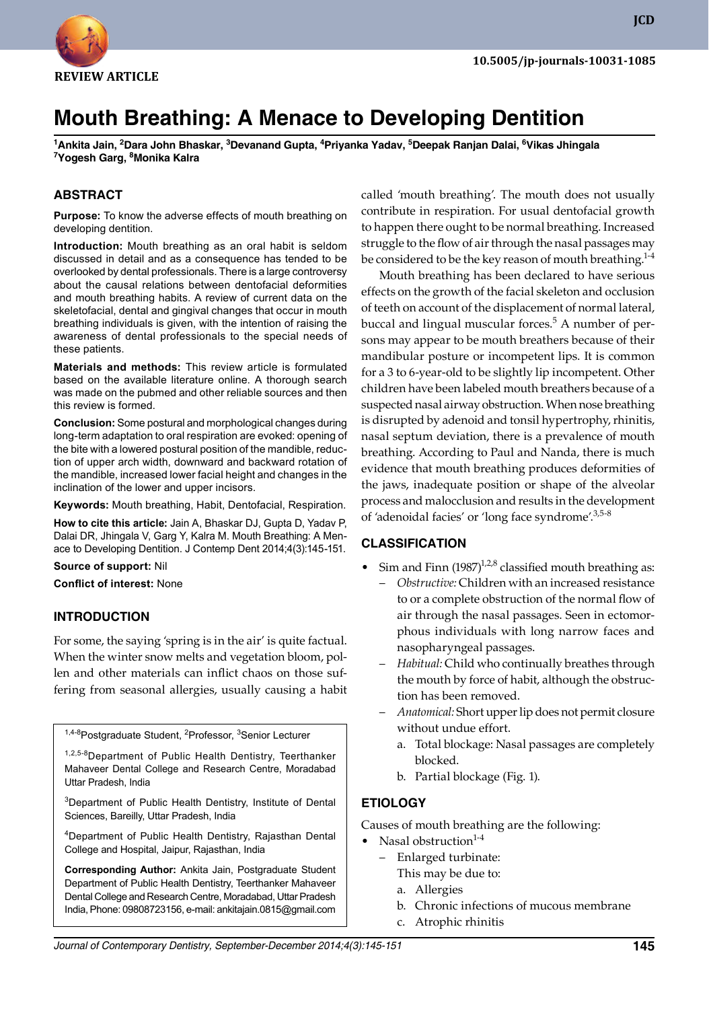

**JCD**

# **Mouth Breathing: A Menace to Developing Dentition**

**<sup>1</sup>Ankita Jain, 2Dara John Bhaskar, 3Devanand Gupta, 4Priyanka Yadav, 5Deepak Ranjan Dalai, 6Vikas Jhingala <sup>7</sup>Yogesh Garg, 8Monika Kalra**

#### **ABSTRACT**

**Purpose:** To know the adverse effects of mouth breathing on developing dentition.

**Introduction:** Mouth breathing as an oral habit is seldom discussed in detail and as a consequence has tended to be overlooked by dental professionals. There is a large controversy about the causal relations between dentofacial deformities and mouth breathing habits. A review of current data on the skeletofacial, dental and gingival changes that occur in mouth breathing individuals is given, with the intention of raising the awareness of dental professionals to the special needs of these patients.

**Materials and methods:** This review article is formulated based on the available literature online. A thorough search was made on the pubmed and other reliable sources and then this review is formed.

**Conclusion:** Some postural and morphological changes during long-term adaptation to oral respiration are evoked: opening of the bite with a lowered postural position of the mandible, reduction of upper arch width, downward and backward rotation of the mandible, increased lower facial height and changes in the inclination of the lower and upper incisors.

**Keywords:** Mouth breathing, Habit, Dentofacial, Respiration.

**How to cite this article:** Jain A, Bhaskar DJ, Gupta D, Yadav P, Dalai DR, Jhingala V, Garg Y, Kalra M. Mouth Breathing: A Menace to Developing Dentition. J Contemp Dent 2014;4(3):145-151.

#### **Source of support:** Nil

**Conflict of interest:** None

#### **InTRoDuCTIon**

For some, the saying 'spring is in the air' is quite factual. When the winter snow melts and vegetation bloom, pollen and other materials can inflict chaos on those suffering from seasonal allergies, usually causing a habit

1,4-8Postgraduate Student, <sup>2</sup>Professor, <sup>3</sup>Senior Lecturer

1,2,5-8Department of Public Health Dentistry, Teerthanker Mahaveer Dental College and Research Centre, Moradabad Uttar Pradesh, India

<sup>3</sup>Department of Public Health Dentistry, Institute of Dental Sciences, Bareilly, Uttar Pradesh, India

<sup>4</sup>Department of Public Health Dentistry, Rajasthan Dental College and Hospital, Jaipur, Rajasthan, India

**Corresponding Author:** Ankita Jain, Postgraduate Student Department of Public Health Dentistry, Teerthanker Mahaveer Dental College and Research Centre, Moradabad, Uttar Pradesh India, Phone: 09808723156, e-mail: ankitajain.0815@gmail.com

called 'mouth breathing'. The mouth does not usually contribute in respiration. For usual dentofacial growth to happen there ought to be normal breathing. Increased struggle to the flow of air through the nasal passages may be considered to be the key reason of mouth breathing.<sup>1-4</sup>

 Mouth breathing has been declared to have serious effects on the growth of the facial skeleton and occlusion of teeth on account of the displacement of normal lateral, buccal and lingual muscular forces.<sup>5</sup> A number of persons may appear to be mouth breathers because of their mandibular posture or incompetent lips. It is common for a 3 to 6-year-old to be slightly lip incompetent. Other children have been labeled mouth breathers because of a suspected nasal airway obstruction. When nose breathing is disrupted by adenoid and tonsil hypertrophy, rhinitis, nasal septum deviation, there is a prevalence of mouth breathing. According to Paul and Nanda, there is much evidence that mouth breathing produces deformities of the jaws, inadequate position or shape of the alveolar process and malocclusion and results in the development of 'adenoidal facies' or 'long face syndrome'.<sup>3,5-8</sup>

#### **CLASSIFICATIon**

- Sim and Finn  $(1987)^{1,2,8}$  classified mouth breathing as:
	- *Obstructive:* Children with an increased resistance to or a complete obstruction of the normal flow of air through the nasal passages. Seen in ectomorphous individuals with long narrow faces and nasopharyngeal passages.
	- *Habitual:* Child who continually breathes through the mouth by force of habit, although the obstruction has been removed.
	- *Anatomical:* Short upper lip does not permit closure without undue effort.
		- a. Total blockage: Nasal passages are completely blocked.
		- b. Partial blockage (Fig. 1).

#### **ETIoLoGY**

Causes of mouth breathing are the following:

- Nasal obstruction $1-4$ 
	- Enlarged turbinate: This may be due to:
		- a. Allergies
		- b. Chronic infections of mucous membrane
		- c. Atrophic rhinitis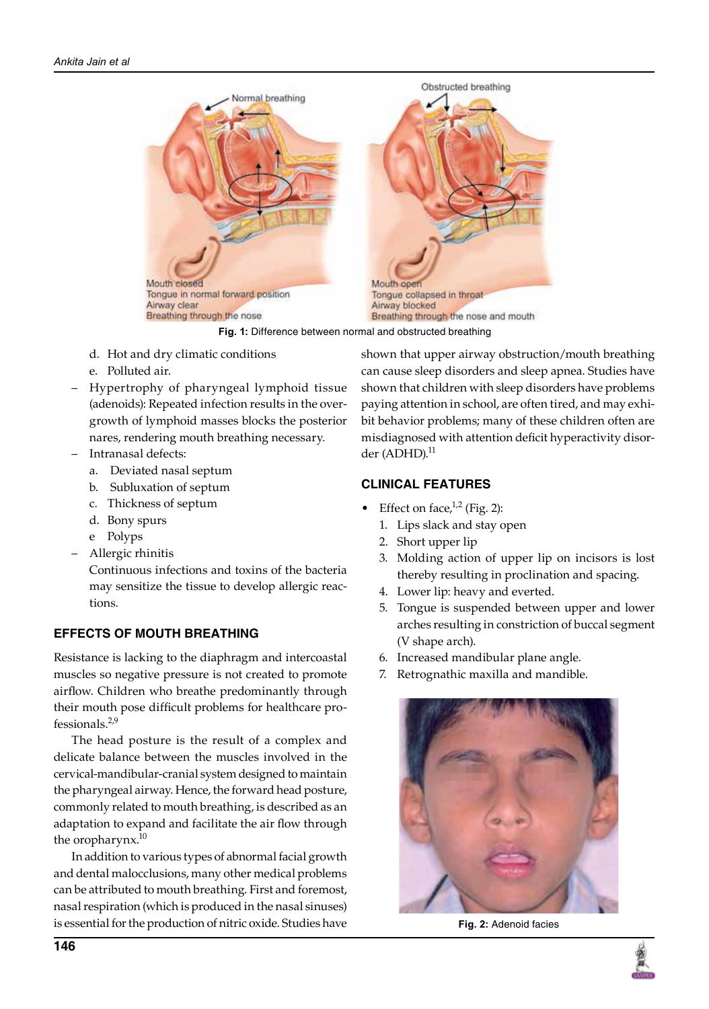

**Fig. 1:** Difference between normal and obstructed breathing

- d. Hot and dry climatic conditions
- e. Polluted air.
- Hypertrophy of pharyngeal lymphoid tissue (adenoids): Repeated infection results in the overgrowth of lymphoid masses blocks the posterior nares, rendering mouth breathing necessary.
- Intranasal defects:
	- a. Deviated nasal septum
	- b. Subluxation of septum
	- c. Thickness of septum
	- d. Bony spurs
	- e Polyps
- Allergic rhinitis

 Continuous infections and toxins of the bacteria may sensitize the tissue to develop allergic reactions.

#### **EFFECTS oF MouTH BREATHInG**

Resistance is lacking to the diaphragm and intercoastal muscles so negative pressure is not created to promote airflow. Children who breathe predominantly through their mouth pose difficult problems for healthcare professionals. $2,9$ 

 The head posture is the result of a complex and delicate balance between the muscles involved in the cervical-mandibular-cranial system designed to maintain the pharyngeal airway. Hence, the forward head posture, commonly related to mouth breathing, is described as an adaptation to expand and facilitate the air flow through the oropharynx. $^{10}$ 

 In addition to various types of abnormal facial growth and dental malocclusions, many other medical problems can be attributed to mouth breathing. First and foremost, nasal respiration (which is produced in the nasal sinuses) is essential for the production of nitric oxide. Studies have shown that upper airway obstruction/mouth breathing can cause sleep disorders and sleep apnea. Studies have shown that children with sleep disorders have problems paying attention in school, are often tired, and may exhibit behavior problems; many of these children often are misdiagnosed with attention deficit hyperactivity disorder  $(ADHD).<sup>11</sup>$ 

## **CLInICAL FEATuRES**

- Effect on face, $1/2$  (Fig. 2):
	- 1. Lips slack and stay open
	- 2. Short upper lip
	- 3. Molding action of upper lip on incisors is lost thereby resulting in proclination and spacing.
	- 4. Lower lip: heavy and everted.
	- 5. Tongue is suspended between upper and lower arches resulting in constriction of buccal segment (V shape arch).
	- 6. Increased mandibular plane angle.
	- 7. Retrognathic maxilla and mandible.



**Fig. 2:** Adenoid facies

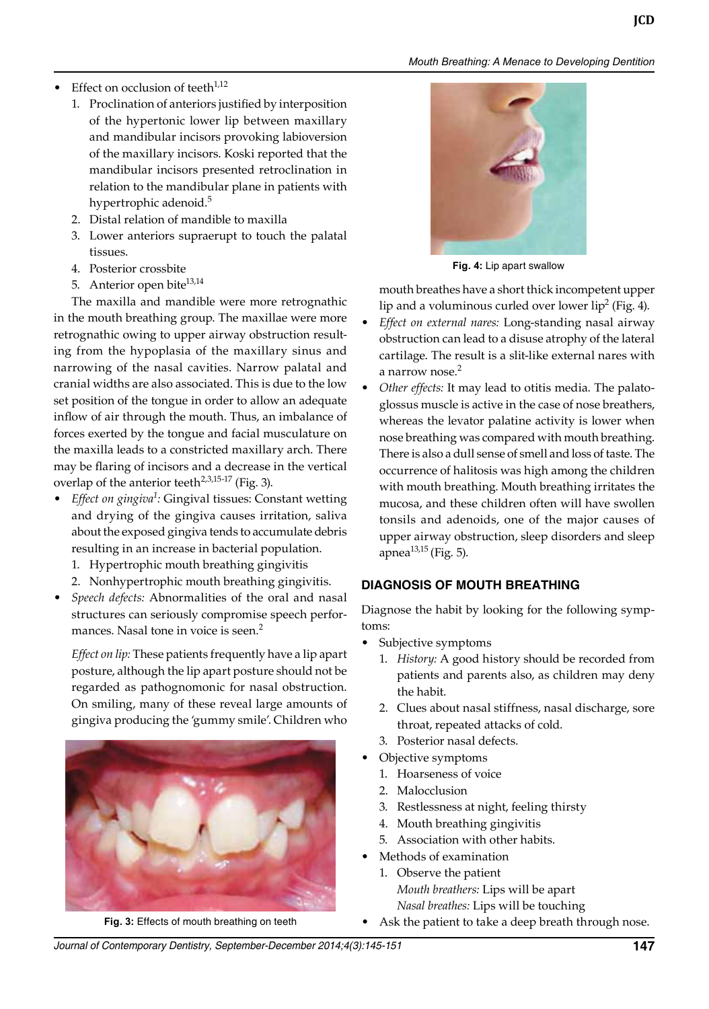# *Mouth Breathing: A Menace to Developing Dentition*

- Effect on occlusion of teeth $1,12$ 
	- 1. Proclination of anteriors justified by interposition of the hypertonic lower lip between maxillary and mandibular incisors provoking labioversion of the maxillary incisors. Koski reported that the mandibular incisors presented retroclination in relation to the mandibular plane in patients with hypertrophic adenoid.<sup>5</sup>
	- 2. Distal relation of mandible to maxilla
	- 3. Lower anteriors supraerupt to touch the palatal tissues.
	- 4. Posterior crossbite
	- 5. Anterior open bite<sup>13,14</sup>

 The maxilla and mandible were more retrognathic in the mouth breathing group. The maxillae were more retrognathic owing to upper airway obstruction resulting from the hypoplasia of the maxillary sinus and narrowing of the nasal cavities. Narrow palatal and cranial widths are also associated. This is due to the low set position of the tongue in order to allow an adequate inflow of air through the mouth. Thus, an imbalance of forces exerted by the tongue and facial musculature on the maxilla leads to a constricted maxillary arch. There may be flaring of incisors and a decrease in the vertical overlap of the anterior teeth<sup>2,3,15-17</sup> (Fig. 3).

- *Effect on gingiva<sup>1</sup> :* Gingival tissues: Constant wetting and drying of the gingiva causes irritation, saliva about the exposed gingiva tends to accumulate debris resulting in an increase in bacterial population.
	- 1. Hypertrophic mouth breathing gingivitis
	- 2. Nonhypertrophic mouth breathing gingivitis.
- *Speech defects:* Abnormalities of the oral and nasal structures can seriously compromise speech performances. Nasal tone in voice is seen.<sup>2</sup>

*Effect on lip:* These patients frequently have a lip apart posture, although the lip apart posture should not be regarded as pathognomonic for nasal obstruction. On smiling, many of these reveal large amounts of gingiva producing the 'gummy smile'. Children who





**Fig. 4:** Lip apart swallow

mouth breathes have a short thick incompetent upper lip and a voluminous curled over lower lip $^2$  (Fig. 4).

- *Effect on external nares:* Long-standing nasal airway obstruction can lead to a disuse atrophy of the lateral cartilage. The result is a slit-like external nares with a narrow nose.<sup>2</sup>
- *Other effects:* It may lead to otitis media. The palatoglossus muscle is active in the case of nose breathers, whereas the levator palatine activity is lower when nose breathing was compared with mouth breathing. There is also a dull sense of smell and loss of taste. The occurrence of halitosis was high among the children with mouth breathing. Mouth breathing irritates the mucosa, and these children often will have swollen tonsils and adenoids, one of the major causes of upper airway obstruction, sleep disorders and sleep apnea $^{13,15}$  (Fig. 5).

#### **DIAGnoSIS oF MouTH BREATHInG**

Diagnose the habit by looking for the following symptoms:

- Subjective symptoms
	- 1. *History:* A good history should be recorded from patients and parents also, as children may deny the habit.
	- 2. Clues about nasal stiffness, nasal discharge, sore throat, repeated attacks of cold.
	- 3. Posterior nasal defects.
- Objective symptoms
	- 1. Hoarseness of voice
	- 2. Malocclusion
	- 3. Restlessness at night, feeling thirsty
	- 4. Mouth breathing gingivitis
	- 5. Association with other habits.
	- Methods of examination
		- 1. Observe the patient *Mouth breathers:* Lips will be apart
			- *Nasal breathes:* Lips will be touching
- Fig. 3: Effects of mouth breathing on teeth Ask the patient to take a deep breath through nose.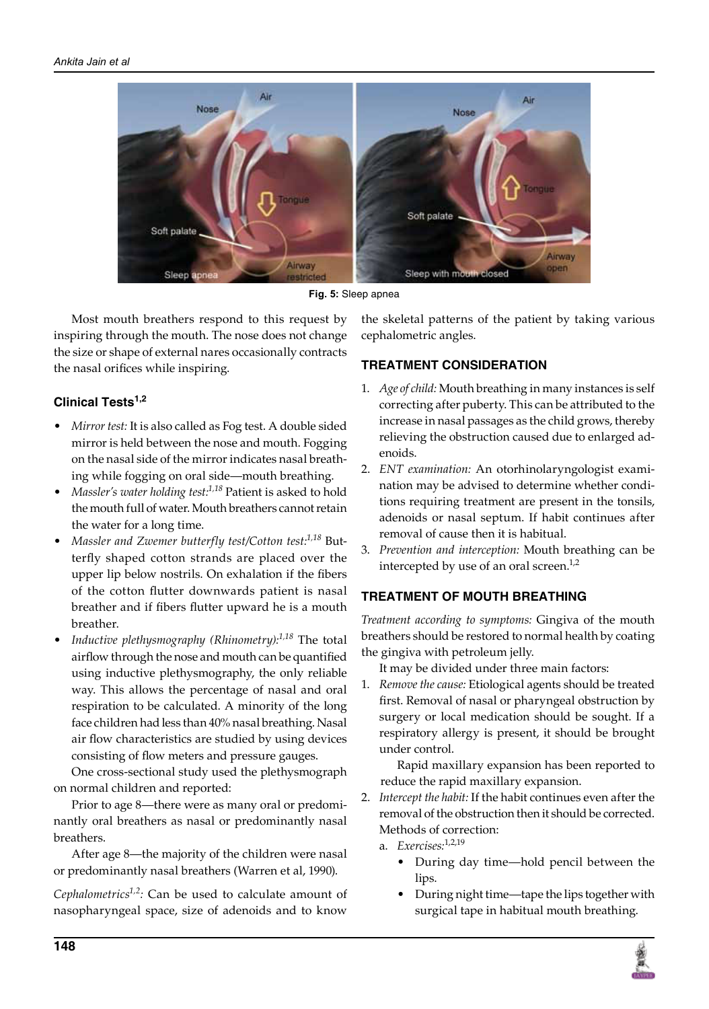

**Fig. 5:** Sleep apnea

 Most mouth breathers respond to this request by inspiring through the mouth. The nose does not change the size or shape of external nares occasionally contracts the nasal orifices while inspiring.

# **Clinical Tests1,2**

- *Mirror test:* It is also called as Fog test. A double sided mirror is held between the nose and mouth. Fogging on the nasal side of the mirror indicates nasal breathing while fogging on oral side—mouth breathing.
- *Massler's water holding test:1,18* Patient is asked to hold the mouth full of water. Mouth breathers cannot retain the water for a long time.
- *Massler and Zwemer butterfly test/Cotton test:1,18* Butterfly shaped cotton strands are placed over the upper lip below nostrils. On exhalation if the fibers of the cotton flutter downwards patient is nasal breather and if fibers flutter upward he is a mouth breather.
- *Inductive plethysmography (Rhinometry):1,18* The total airflow through the nose and mouth can be quantified using inductive plethysmography, the only reliable way. This allows the percentage of nasal and oral respiration to be calculated. A minority of the long face children had less than 40% nasal breathing. Nasal air flow characteristics are studied by using devices consisting of flow meters and pressure gauges.

 One cross-sectional study used the plethysmograph on normal children and reported:

 Prior to age 8—there were as many oral or predominantly oral breathers as nasal or predominantly nasal breathers.

 After age 8—the majority of the children were nasal or predominantly nasal breathers (Warren et al, 1990).

*Cephalometrics1,2:* Can be used to calculate amount of nasopharyngeal space, size of adenoids and to know

the skeletal patterns of the patient by taking various cephalometric angles.

# **TREATMEnT ConSIDERATIon**

- 1. *Age of child:* Mouth breathing in many instances is self correcting after puberty. This can be attributed to the increase in nasal passages as the child grows, thereby relieving the obstruction caused due to enlarged adenoids.
- 2. *ENT examination:* An otorhinolaryngologist examination may be advised to determine whether conditions requiring treatment are present in the tonsils, adenoids or nasal septum. If habit continues after removal of cause then it is habitual.
- 3. *Prevention and interception:* Mouth breathing can be intercepted by use of an oral screen. $1,2$

# **TREATMEnT oF MouTH BREATHInG**

*Treatment according to symptoms:* gingiva of the mouth breathers should be restored to normal health by coating the gingiva with petroleum jelly.

It may be divided under three main factors:

1. *Remove the cause:* Etiological agents should be treated first. Removal of nasal or pharyngeal obstruction by surgery or local medication should be sought. If a respiratory allergy is present, it should be brought under control.

 Rapid maxillary expansion has been reported to reduce the rapid maxillary expansion.

- 2. *Intercept the habit:* If the habit continues even after the removal of the obstruction then it should be corrected. Methods of correction:
	- a. *Exercises:*1,2,19
		- During day time—hold pencil between the lips.
		- During night time—tape the lips together with surgical tape in habitual mouth breathing.

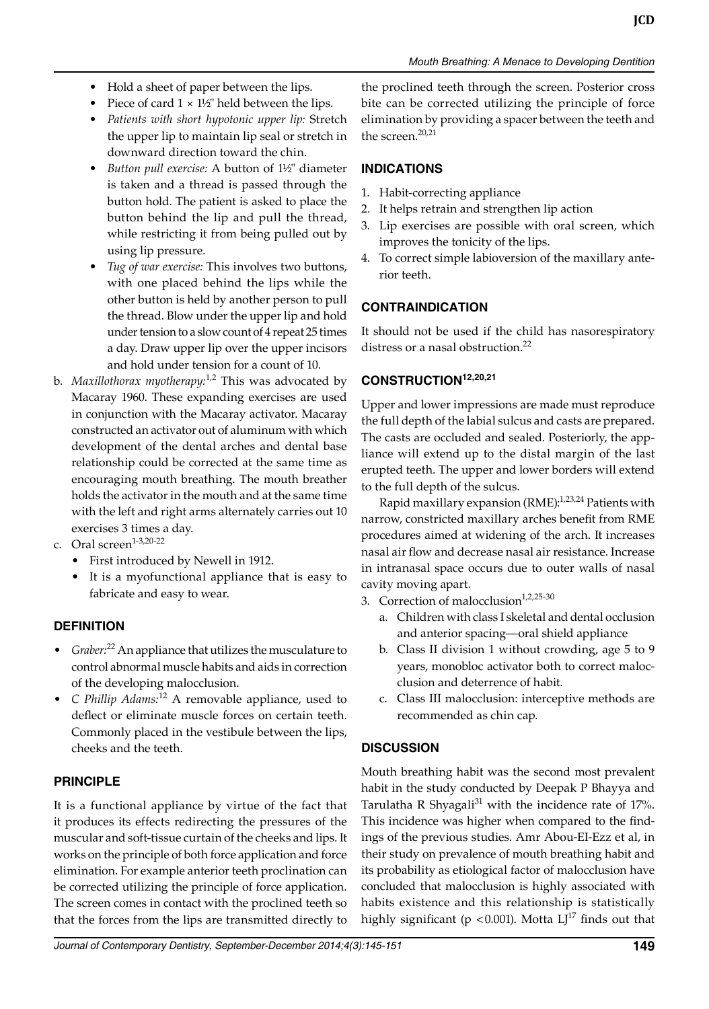- Hold a sheet of paper between the lips.
- Piece of card  $1 \times 1\frac{1}{2}$ " held between the lips.
- *Patients with short hypotonic upper lip:* Stretch the upper lip to maintain lip seal or stretch in downward direction toward the chin.
- *Button pull exercise:* A button of 1½" diameter is taken and a thread is passed through the button hold. The patient is asked to place the button behind the lip and pull the thread, while restricting it from being pulled out by using lip pressure.
- *Tug of war exercise:* This involves two buttons, with one placed behind the lips while the other button is held by another person to pull the thread. Blow under the upper lip and hold under tension to a slow count of 4 repeat 25 times a day. Draw upper lip over the upper incisors and hold under tension for a count of 10.
- b. *Maxillothorax myotherapy:*1,2 This was advocated by Macaray 1960. These expanding exercises are used in conjunction with the Macaray activator. Macaray constructed an activator out of aluminum with which development of the dental arches and dental base relationship could be corrected at the same time as encouraging mouth breathing. The mouth breather holds the activator in the mouth and at the same time with the left and right arms alternately carries out 10 exercises 3 times a day.
- c. Oral screen $1-3,20-22$ 
	- First introduced by Newell in 1912.
	- It is a myofunctional appliance that is easy to fabricate and easy to wear.

# **DEFInITIon**

- *Graber:*<sup>22</sup> An appliance that utilizes the musculature to control abnormal muscle habits and aids in correction of the developing malocclusion.
- *C Phillip Adams:*<sup>12</sup> A removable appliance, used to deflect or eliminate muscle forces on certain teeth. Commonly placed in the vestibule between the lips, cheeks and the teeth.

# **PRInCIPLE**

It is a functional appliance by virtue of the fact that it produces its effects redirecting the pressures of the muscular and soft-tissue curtain of the cheeks and lips. It works on the principle of both force application and force elimination. For example anterior teeth proclination can be corrected utilizing the principle of force application. The screen comes in contact with the proclined teeth so that the forces from the lips are transmitted directly to

the proclined teeth through the screen. Posterior cross bite can be corrected utilizing the principle of force elimination by providing a spacer between the teeth and the screen. $20,21$ 

### **InDICATIonS**

- 1. Habit-correcting appliance
- 2. It helps retrain and strengthen lip action
- 3. Lip exercises are possible with oral screen, which improves the tonicity of the lips.
- 4. To correct simple labioversion of the maxillary anterior teeth.

# **ConTRAInDICATIon**

It should not be used if the child has nasorespiratory distress or a nasal obstruction.<sup>22</sup>

## **ConSTRuCTIon12,20,21**

Upper and lower impressions are made must reproduce the full depth of the labial sulcus and casts are prepared. The casts are occluded and sealed. Posteriorly, the appliance will extend up to the distal margin of the last erupted teeth. The upper and lower borders will extend to the full depth of the sulcus.

Rapid maxillary expansion (RME):<sup>1,23,24</sup> Patients with narrow, constricted maxillary arches benefit from RME procedures aimed at widening of the arch. It increases nasal air flow and decrease nasal air resistance. Increase in intranasal space occurs due to outer walls of nasal cavity moving apart.

- 3. Correction of malocclusion $1,2,25-30$ 
	- a. Children with class I skeletal and dental occlusion and anterior spacing—oral shield appliance
	- b. Class II division 1 without crowding, age 5 to 9 years, monobloc activator both to correct malocclusion and deterrence of habit.
	- c. Class III malocclusion: interceptive methods are recommended as chin cap.

# **DISCuSSIon**

Mouth breathing habit was the second most prevalent habit in the study conducted by Deepak P Bhayya and Tarulatha R Shyagali<sup>31</sup> with the incidence rate of 17%. This incidence was higher when compared to the findings of the previous studies. Amr Abou-EI-Ezz et al, in their study on prevalence of mouth breathing habit and its probability as etiological factor of malocclusion have concluded that malocclusion is highly associated with habits existence and this relationship is statistically highly significant ( $p < 0.001$ ). Motta  $LJ^{17}$  finds out that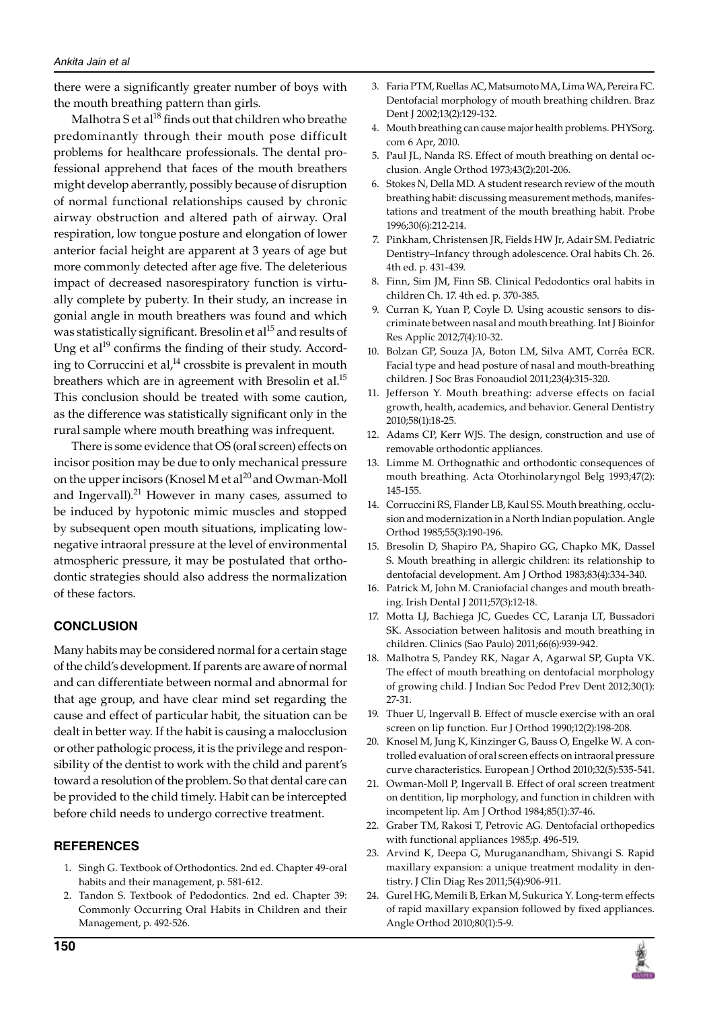there were a significantly greater number of boys with the mouth breathing pattern than girls.

Malhotra S et al $^{18}$  finds out that children who breathe predominantly through their mouth pose difficult problems for healthcare professionals. The dental professional apprehend that faces of the mouth breathers might develop aberrantly, possibly because of disruption of normal functional relationships caused by chronic airway obstruction and altered path of airway. Oral respiration, low tongue posture and elongation of lower anterior facial height are apparent at 3 years of age but more commonly detected after age five. The deleterious impact of decreased nasorespiratory function is virtually complete by puberty. In their study, an increase in gonial angle in mouth breathers was found and which was statistically significant. Bresolin et al<sup>15</sup> and results of Ung et al<sup>19</sup> confirms the finding of their study. According to Corruccini et  $al^{14}$  crossbite is prevalent in mouth breathers which are in agreement with Bresolin et al.<sup>15</sup> This conclusion should be treated with some caution, as the difference was statistically significant only in the rural sample where mouth breathing was infrequent.

 There is some evidence that OS (oral screen) effects on incisor position may be due to only mechanical pressure on the upper incisors (Knosel M et al<sup>20</sup> and Owman-Moll and Ingervall). $^{21}$  However in many cases, assumed to be induced by hypotonic mimic muscles and stopped by subsequent open mouth situations, implicating lownegative intraoral pressure at the level of environmental atmospheric pressure, it may be postulated that orthodontic strategies should also address the normalization of these factors.

#### **ConCLuSIon**

Many habits may be considered normal for a certain stage of the child's development. If parents are aware of normal and can differentiate between normal and abnormal for that age group, and have clear mind set regarding the cause and effect of particular habit, the situation can be dealt in better way. If the habit is causing a malocclusion or other pathologic process, it is the privilege and responsibility of the dentist to work with the child and parent's toward a resolution of the problem. So that dental care can be provided to the child timely. Habit can be intercepted before child needs to undergo corrective treatment.

#### **REFEREnCES**

- 1. Singh G. Textbook of Orthodontics. 2nd ed. Chapter 49-oral habits and their management, p. 581-612.
- 2. Tandon S. Textbook of Pedodontics. 2nd ed. Chapter 39: Commonly Occurring Oral Habits in Children and their Management, p. 492-526.
- 3. Faria PTM, Ruellas AC, Matsumoto MA, Lima WA, Pereira FC. Dentofacial morphology of mouth breathing children. Braz Dent J 2002;13(2):129-132.
- 4. Mouth breathing can cause major health problems. PHYSorg. com 6 Apr, 2010.
- 5. Paul JL, Nanda RS. Effect of mouth breathing on dental occlusion. Angle Orthod 1973;43(2):201-206.
- 6. Stokes N, Della MD. A student research review of the mouth breathing habit: discussing measurement methods, manifestations and treatment of the mouth breathing habit. Probe 1996;30(6):212-214.
- 7. Pinkham, Christensen JR, Fields HW Jr, Adair SM. Pediatric Dentistry–Infancy through adolescence. Oral habits Ch. 26. 4th ed. p. 431-439.
- Finn, Sim JM, Finn SB. Clinical Pedodontics oral habits in children Ch. 17. 4th ed. p. 370-385.
- 9. Curran K, Yuan P, Coyle D. Using acoustic sensors to discriminate between nasal and mouth breathing. Int J Bioinfor Res Applic 2012;7(4):10-32.
- 10. Bolzan GP, Souza JA, Boton LM, Silva AMT, Corrêa ECR. Facial type and head posture of nasal and mouth-breathing children. J Soc Bras Fonoaudiol 2011;23(4):315-320.
- 11. Jefferson Y. Mouth breathing: adverse effects on facial growth, health, academics, and behavior. General Dentistry 2010;58(1):18-25.
- 12. Adams CP, Kerr WJS. The design, construction and use of removable orthodontic appliances.
- 13. Limme M. Orthognathic and orthodontic consequences of mouth breathing. Acta Otorhinolaryngol Belg 1993;47(2): 145-155.
- 14. Corruccini RS, Flander LB, Kaul SS. Mouth breathing, occlusion and modernization in a North Indian population. Angle Orthod 1985;55(3):190-196.
- 15. Bresolin D, Shapiro PA, Shapiro GG, Chapko MK, Dassel S. Mouth breathing in allergic children: its relationship to dentofacial development. Am J Orthod 1983;83(4):334-340.
- 16. Patrick M, John M. Craniofacial changes and mouth breathing. Irish Dental J 2011;57(3):12-18.
- 17. Motta LJ, Bachiega JC, Guedes CC, Laranja LT, Bussadori SK. Association between halitosis and mouth breathing in children. Clinics (Sao Paulo) 2011;66(6):939-942.
- 18. Malhotra S, Pandey RK, Nagar A, Agarwal SP, Gupta VK. The effect of mouth breathing on dentofacial morphology of growing child. J Indian Soc Pedod Prev Dent 2012;30(1): 27-31.
- 19. Thuer U, Ingervall B. Effect of muscle exercise with an oral screen on lip function. Eur J Orthod 1990;12(2):198-208.
- 20. Knosel M, Jung K, Kinzinger G, Bauss O, Engelke W. A controlled evaluation of oral screen effects on intraoral pressure curve characteristics. European J Orthod 2010;32(5):535-541.
- 21. Owman-Moll P, Ingervall B. Effect of oral screen treatment on dentition, lip morphology, and function in children with incompetent lip. Am J Orthod 1984;85(1):37-46.
- 22. Graber TM, Rakosi T, Petrovic AG. Dentofacial orthopedics with functional appliances 1985;p. 496-519.
- 23. Arvind K, Deepa G, Muruganandham, Shivangi S. Rapid maxillary expansion: a unique treatment modality in dentistry. J Clin Diag Res 2011;5(4):906-911.
- 24. Gurel HG, Memili B, Erkan M, Sukurica Y. Long-term effects of rapid maxillary expansion followed by fixed appliances. Angle Orthod 2010;80(1):5-9.